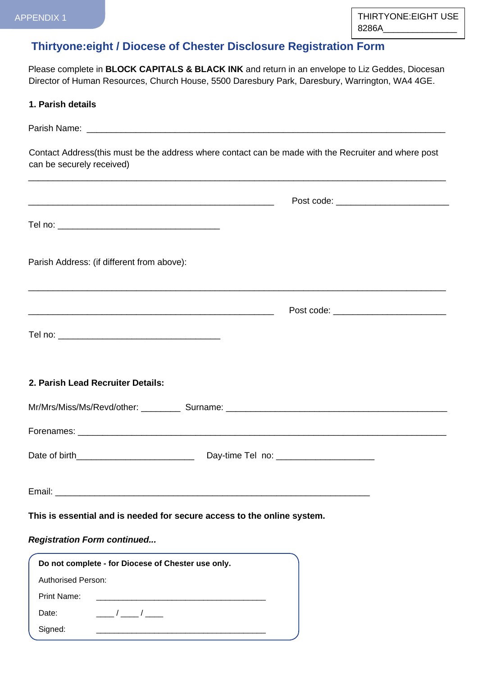## **Thirtyone:eight / Diocese of Chester Disclosure Registration Form**

Please complete in **BLOCK CAPITALS & BLACK INK** and return in an envelope to Liz Geddes, Diocesan Director of Human Resources, Church House, 5500 Daresbury Park, Daresbury, Warrington, WA4 4GE.

| can be securely received)                                               | Contact Address(this must be the address where contact can be made with the Recruiter and where post<br>,我们也不能在这里的人,我们也不能在这里的人,我们也不能在这里的人,我们也不能在这里的人,我们也不能在这里的人,我们也不能在这里的人,我们也不能在这里的人,我们也 |
|-------------------------------------------------------------------------|-------------------------------------------------------------------------------------------------------------------------------------------------------------------------------------------|
|                                                                         | Post code: ______________________________                                                                                                                                                 |
|                                                                         |                                                                                                                                                                                           |
| Parish Address: (if different from above):                              |                                                                                                                                                                                           |
|                                                                         | Post code: ____________________________                                                                                                                                                   |
|                                                                         |                                                                                                                                                                                           |
| 2. Parish Lead Recruiter Details:                                       |                                                                                                                                                                                           |
|                                                                         |                                                                                                                                                                                           |
|                                                                         |                                                                                                                                                                                           |
|                                                                         |                                                                                                                                                                                           |
|                                                                         | Day-time Tel no: _______________________                                                                                                                                                  |
|                                                                         |                                                                                                                                                                                           |
| This is essential and is needed for secure access to the online system. |                                                                                                                                                                                           |
| <b>Registration Form continued</b>                                      |                                                                                                                                                                                           |